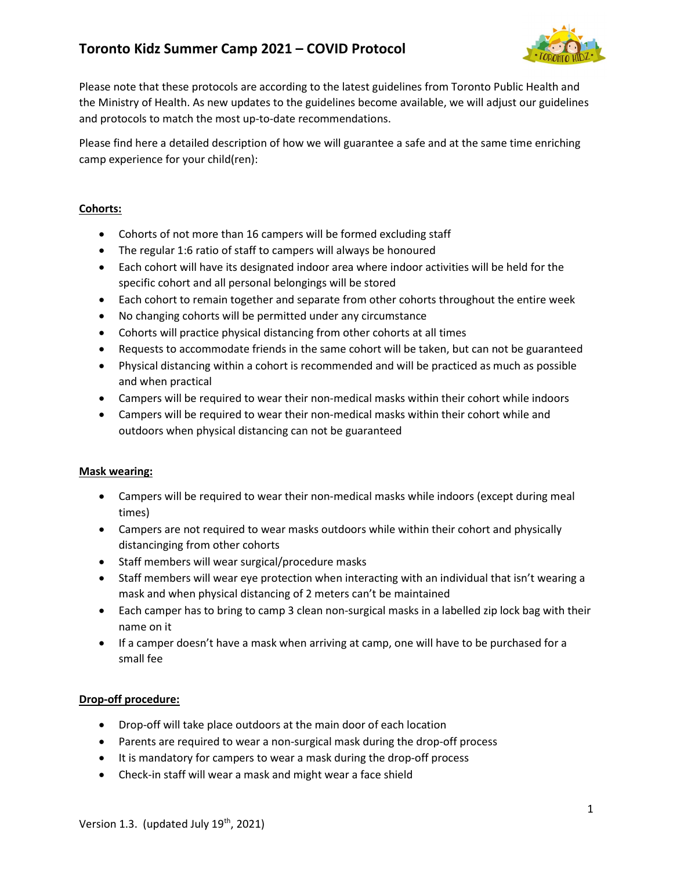

Please note that these protocols are according to the latest guidelines from Toronto Public Health and the Ministry of Health. As new updates to the guidelines become available, we will adjust our guidelines and protocols to match the most up-to-date recommendations.

Please find here a detailed description of how we will guarantee a safe and at the same time enriching camp experience for your child(ren):

## Cohorts:

- Cohorts of not more than 16 campers will be formed excluding staff
- The regular 1:6 ratio of staff to campers will always be honoured
- Each cohort will have its designated indoor area where indoor activities will be held for the specific cohort and all personal belongings will be stored
- Each cohort to remain together and separate from other cohorts throughout the entire week
- No changing cohorts will be permitted under any circumstance
- Cohorts will practice physical distancing from other cohorts at all times
- Requests to accommodate friends in the same cohort will be taken, but can not be guaranteed
- Physical distancing within a cohort is recommended and will be practiced as much as possible and when practical
- Campers will be required to wear their non-medical masks within their cohort while indoors
- Campers will be required to wear their non-medical masks within their cohort while and outdoors when physical distancing can not be guaranteed

## Mask wearing:

- Campers will be required to wear their non-medical masks while indoors (except during meal times)
- Campers are not required to wear masks outdoors while within their cohort and physically distancinging from other cohorts
- Staff members will wear surgical/procedure masks
- Staff members will wear eye protection when interacting with an individual that isn't wearing a mask and when physical distancing of 2 meters can't be maintained
- Each camper has to bring to camp 3 clean non-surgical masks in a labelled zip lock bag with their name on it
- If a camper doesn't have a mask when arriving at camp, one will have to be purchased for a small fee

## Drop-off procedure:

- Drop-off will take place outdoors at the main door of each location
- Parents are required to wear a non-surgical mask during the drop-off process
- It is mandatory for campers to wear a mask during the drop-off process
- Check-in staff will wear a mask and might wear a face shield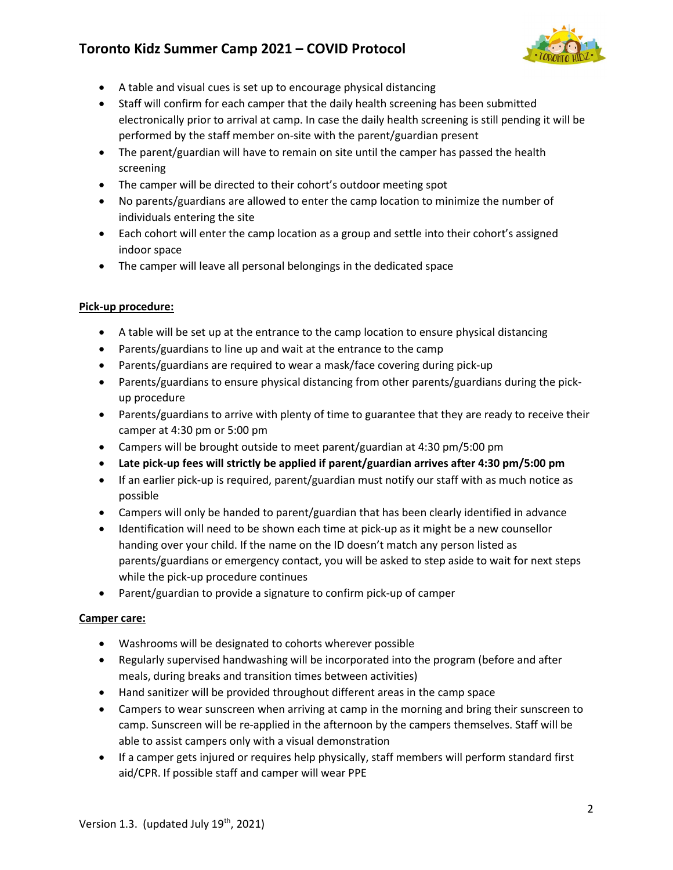

- A table and visual cues is set up to encourage physical distancing
- Staff will confirm for each camper that the daily health screening has been submitted electronically prior to arrival at camp. In case the daily health screening is still pending it will be performed by the staff member on-site with the parent/guardian present
- The parent/guardian will have to remain on site until the camper has passed the health screening
- The camper will be directed to their cohort's outdoor meeting spot
- No parents/guardians are allowed to enter the camp location to minimize the number of individuals entering the site
- Each cohort will enter the camp location as a group and settle into their cohort's assigned indoor space
- The camper will leave all personal belongings in the dedicated space

## Pick-up procedure:

- A table will be set up at the entrance to the camp location to ensure physical distancing
- Parents/guardians to line up and wait at the entrance to the camp
- Parents/guardians are required to wear a mask/face covering during pick-up
- Parents/guardians to ensure physical distancing from other parents/guardians during the pickup procedure
- Parents/guardians to arrive with plenty of time to guarantee that they are ready to receive their camper at 4:30 pm or 5:00 pm
- Campers will be brought outside to meet parent/guardian at 4:30 pm/5:00 pm
- Late pick-up fees will strictly be applied if parent/guardian arrives after 4:30 pm/5:00 pm
- If an earlier pick-up is required, parent/guardian must notify our staff with as much notice as possible
- Campers will only be handed to parent/guardian that has been clearly identified in advance
- Identification will need to be shown each time at pick-up as it might be a new counsellor handing over your child. If the name on the ID doesn't match any person listed as parents/guardians or emergency contact, you will be asked to step aside to wait for next steps while the pick-up procedure continues
- Parent/guardian to provide a signature to confirm pick-up of camper

#### Camper care:

- Washrooms will be designated to cohorts wherever possible
- Regularly supervised handwashing will be incorporated into the program (before and after meals, during breaks and transition times between activities)
- Hand sanitizer will be provided throughout different areas in the camp space
- Campers to wear sunscreen when arriving at camp in the morning and bring their sunscreen to camp. Sunscreen will be re-applied in the afternoon by the campers themselves. Staff will be able to assist campers only with a visual demonstration
- If a camper gets injured or requires help physically, staff members will perform standard first aid/CPR. If possible staff and camper will wear PPE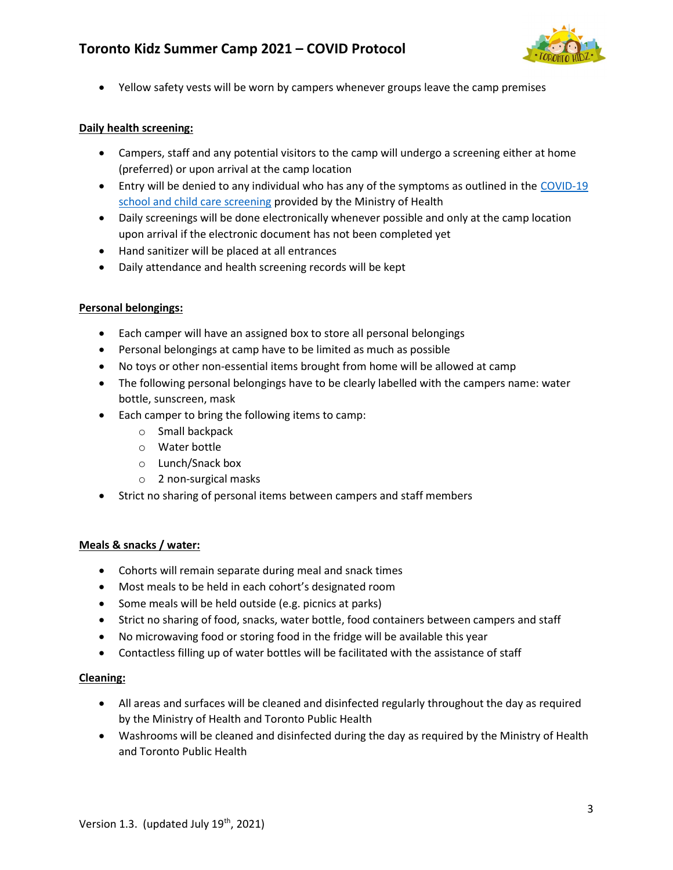

Yellow safety vests will be worn by campers whenever groups leave the camp premises

### Daily health screening:

- Campers, staff and any potential visitors to the camp will undergo a screening either at home (preferred) or upon arrival at the camp location
- **Entry will be denied to any individual who has any of the symptoms as outlined in the COVID-19** school and child care screening provided by the Ministry of Health
- Daily screenings will be done electronically whenever possible and only at the camp location upon arrival if the electronic document has not been completed yet
- Hand sanitizer will be placed at all entrances
- Daily attendance and health screening records will be kept

#### Personal belongings:

- Each camper will have an assigned box to store all personal belongings
- Personal belongings at camp have to be limited as much as possible
- No toys or other non-essential items brought from home will be allowed at camp
- The following personal belongings have to be clearly labelled with the campers name: water bottle, sunscreen, mask
- Each camper to bring the following items to camp:
	- o Small backpack
	- o Water bottle
	- o Lunch/Snack box
	- o 2 non-surgical masks
- Strict no sharing of personal items between campers and staff members

## Meals & snacks / water:

- Cohorts will remain separate during meal and snack times
- Most meals to be held in each cohort's designated room
- Some meals will be held outside (e.g. picnics at parks)
- Strict no sharing of food, snacks, water bottle, food containers between campers and staff
- No microwaving food or storing food in the fridge will be available this year
- Contactless filling up of water bottles will be facilitated with the assistance of staff

## Cleaning:

- All areas and surfaces will be cleaned and disinfected regularly throughout the day as required by the Ministry of Health and Toronto Public Health
- Washrooms will be cleaned and disinfected during the day as required by the Ministry of Health and Toronto Public Health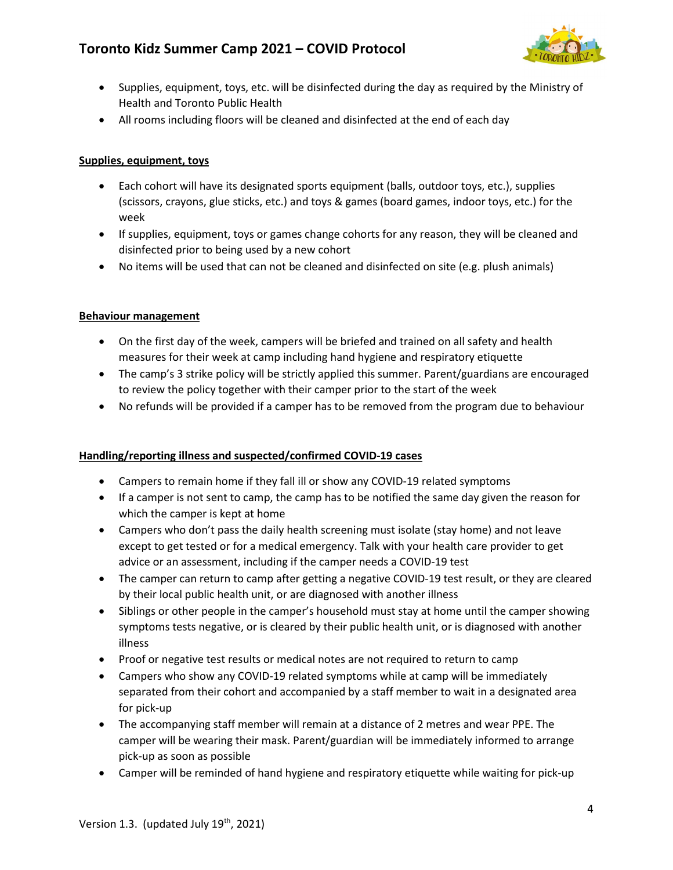

- Supplies, equipment, toys, etc. will be disinfected during the day as required by the Ministry of Health and Toronto Public Health
- All rooms including floors will be cleaned and disinfected at the end of each day

# Supplies, equipment, toys

- Each cohort will have its designated sports equipment (balls, outdoor toys, etc.), supplies (scissors, crayons, glue sticks, etc.) and toys & games (board games, indoor toys, etc.) for the week
- If supplies, equipment, toys or games change cohorts for any reason, they will be cleaned and disinfected prior to being used by a new cohort
- No items will be used that can not be cleaned and disinfected on site (e.g. plush animals)

## Behaviour management

- On the first day of the week, campers will be briefed and trained on all safety and health measures for their week at camp including hand hygiene and respiratory etiquette
- The camp's 3 strike policy will be strictly applied this summer. Parent/guardians are encouraged to review the policy together with their camper prior to the start of the week
- No refunds will be provided if a camper has to be removed from the program due to behaviour

# Handling/reporting illness and suspected/confirmed COVID-19 cases

- Campers to remain home if they fall ill or show any COVID-19 related symptoms
- If a camper is not sent to camp, the camp has to be notified the same day given the reason for which the camper is kept at home
- Campers who don't pass the daily health screening must isolate (stay home) and not leave except to get tested or for a medical emergency. Talk with your health care provider to get advice or an assessment, including if the camper needs a COVID-19 test
- The camper can return to camp after getting a negative COVID-19 test result, or they are cleared by their local public health unit, or are diagnosed with another illness
- Siblings or other people in the camper's household must stay at home until the camper showing symptoms tests negative, or is cleared by their public health unit, or is diagnosed with another illness
- Proof or negative test results or medical notes are not required to return to camp
- Campers who show any COVID-19 related symptoms while at camp will be immediately separated from their cohort and accompanied by a staff member to wait in a designated area for pick-up
- The accompanying staff member will remain at a distance of 2 metres and wear PPE. The camper will be wearing their mask. Parent/guardian will be immediately informed to arrange pick-up as soon as possible
- Camper will be reminded of hand hygiene and respiratory etiquette while waiting for pick-up